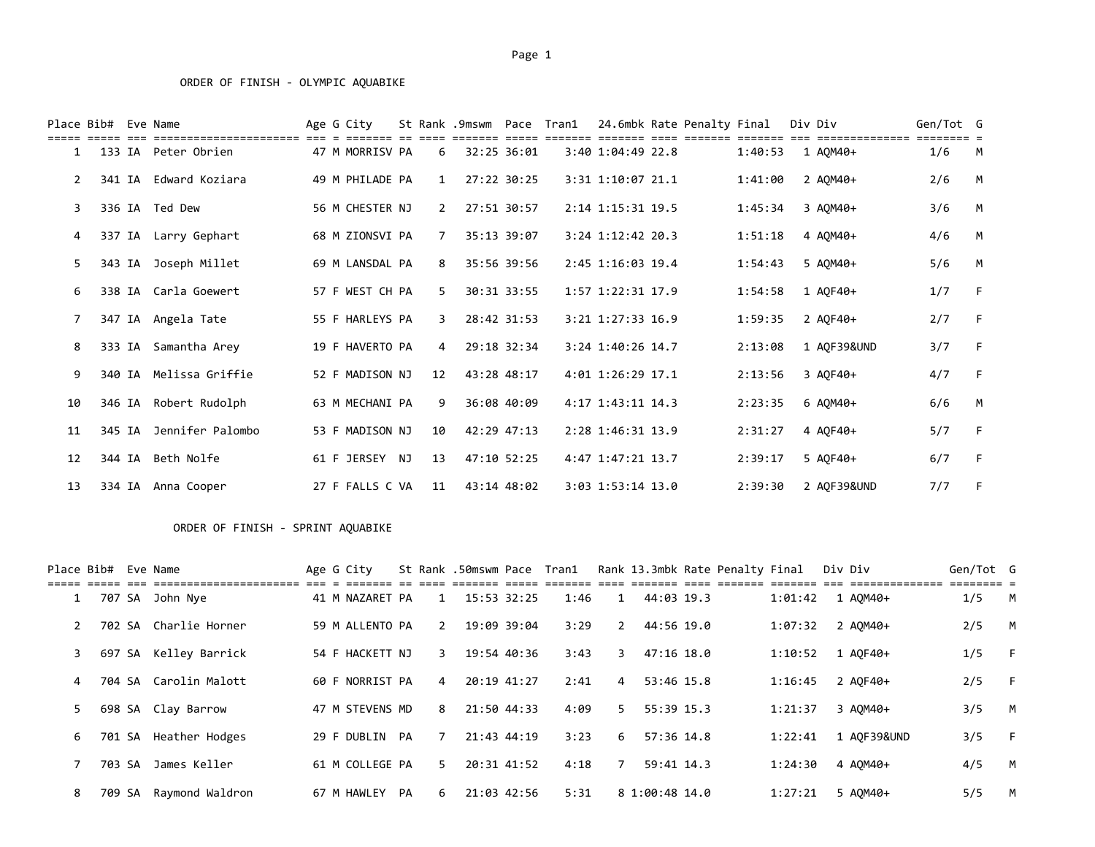|               | Place Bib# | Eve Name               | Age G City      |                | St Rank .9mswm Pace Tran1 |                 |                   | 24.6mbk Rate Penalty Final |         | Div Div     | Gen/Tot G |      |
|---------------|------------|------------------------|-----------------|----------------|---------------------------|-----------------|-------------------|----------------------------|---------|-------------|-----------|------|
| $\mathbf{1}$  |            | 133 IA Peter Obrien    | 47 M MORRISV PA | 6              |                           | 32:25 36:01     | 3:40 1:04:49 22.8 |                            | 1:40:53 | 1 AOM40+    | 1/6       | M    |
| $\mathcal{P}$ |            | 341 IA Edward Koziara  | 49 M PHILADE PA | $\mathbf{1}$   |                           | 27:22 30:25     | 3:31 1:10:07 21.1 |                            | 1:41:00 | 2 AOM40+    | 2/6       | M    |
| 3             |            | 336 IA Ted Dew         | 56 M CHESTER NJ | $\overline{2}$ |                           | 27:51 30:57     | 2:14 1:15:31 19.5 |                            | 1:45:34 | 3 AQM40+    | 3/6       | M    |
| 4             |            | 337 IA Larry Gephart   | 68 M ZIONSVI PA | $7^{\circ}$    |                           | 35:13 39:07     | 3:24 1:12:42 20.3 |                            | 1:51:18 | 4 AOM40+    | 4/6       | M    |
| 5.            |            | 343 IA Joseph Millet   | 69 M LANSDAL PA | 8              |                           | 35:56 39:56     | 2:45 1:16:03 19.4 |                            | 1:54:43 | 5 AQM40+    | 5/6       | M    |
| 6             |            | 338 IA Carla Goewert   | 57 F WEST CH PA | 5.             |                           | 30:31 33:55     | 1:57 1:22:31 17.9 |                            | 1:54:58 | 1 AQF40+    | 1/7       | - F  |
|               |            | 347 IA Angela Tate     | 55 F HARLEYS PA | 3              |                           | 28:42 31:53     | 3:21 1:27:33 16.9 |                            | 1:59:35 | 2 AOF40+    | 2/7       | $-F$ |
| 8             |            | 333 IA Samantha Arey   | 19 F HAVERTO PA | $\overline{4}$ |                           | 29:18 32:34     | 3:24 1:40:26 14.7 |                            | 2:13:08 | 1 AQF39&UND | 3/7       | - F  |
| 9             |            | 340 IA Melissa Griffie | 52 F MADISON NJ | 12             |                           | 43:28 48:17     | 4:01 1:26:29 17.1 |                            | 2:13:56 | 3 AOF40+    | 4/7       | $-F$ |
| 10            |            | 346 IA Robert Rudolph  | 63 M MECHANI PA | 9              |                           | 36:08 40:09     | 4:17 1:43:11 14.3 |                            | 2:23:35 | 6 AQM40+    | 6/6       | M    |
| 11            | 345 IA     | Jennifer Palombo       | 53 F MADISON NJ | 10             |                           | $42:29$ $47:13$ | 2:28 1:46:31 13.9 |                            | 2:31:27 | 4 AOF40+    | 5/7       | $-F$ |
| 12            |            | 344 IA Beth Nolfe      | 61 F JERSEY NJ  | 13             |                           | 47:10 52:25     | 4:47 1:47:21 13.7 |                            | 2:39:17 | 5 AQF40+    | 6/7       | $-F$ |
| 13            |            | 334 IA Anna Cooper     | 27 F FALLS C VA | 11             |                           | 43:14 48:02     | 3:03 1:53:14 13.0 |                            | 2:39:30 | 2 AOF39&UND | 7/7       | - F  |

## ORDER OF FINISH - SPRINT AQUABIKE

| Place Bib# Eve Name |        |                       | Age G City      |    |                | St Rank .50mswm Pace Tran1 |      |                | Rank 13.3mbk Rate Penalty Final |  |         | Div Div |             | Gen/Tot G |          |
|---------------------|--------|-----------------------|-----------------|----|----------------|----------------------------|------|----------------|---------------------------------|--|---------|---------|-------------|-----------|----------|
|                     |        |                       |                 |    |                |                            |      |                |                                 |  |         |         |             |           |          |
| 1                   |        | 707 SA John Nye       | 41 M NAZARET PA |    | 1              | 15:53 32:25                | 1:46 |                | 44:03 19.3                      |  | 1:01:42 |         | 1 AOM40+    | 1/5       | M        |
|                     |        | 702 SA Charlie Horner | 59 M ALLENTO PA |    | 2              | 19:09 39:04                | 3:29 | 2              | 44:56 19.0                      |  | 1:07:32 |         | 2 AOM40+    | 2/5       | <b>M</b> |
| 3                   | 697 SA | Kelley Barrick        | 54 F HACKETT NJ |    | 3              | 19:54 40:36                | 3:43 | 3.             | $47:16$ 18.0                    |  | 1:10:52 |         | 1 AOF40+    | 1/5       | - F      |
| 4                   | 704 SA | Carolin Malott        | 60 F NORRIST PA |    | 4              | 20:19 41:27                | 2:41 | $\overline{4}$ | 53:46 15.8                      |  | 1:16:45 |         | 2 AOF40+    | 2/5       | - F      |
| 5.                  |        | 698 SA Clay Barrow    | 47 M STEVENS MD |    | 8              | 21:50 44:33                | 4:09 | 5.             | 55:39 15.3                      |  | 1:21:37 |         | 3 AOM40+    | 3/5       | <b>M</b> |
| 6                   |        | 701 SA Heather Hodges | 29 F DUBLIN     | PA | $\overline{7}$ | 21:43 44:19                | 3:23 | 6              | $57:36$ 14.8                    |  | 1:22:41 |         | 1 AOF39&UND | 3/5       | - F      |
|                     | 703 SA | James Keller          | 61 M COLLEGE PA |    | 5.             | 20:31 41:52                | 4:18 |                | 59:41 14.3                      |  | 1:24:30 |         | 4 AOM40+    | 4/5       | M        |
| 8                   | 709 SA | Raymond Waldron       | 67 M HAWLEY     | PA | 6              | 21:03 42:56                | 5:31 |                | 8 1:00:48 14.0                  |  | 1:27:21 |         | 5 AOM40+    | 5/5       | M        |